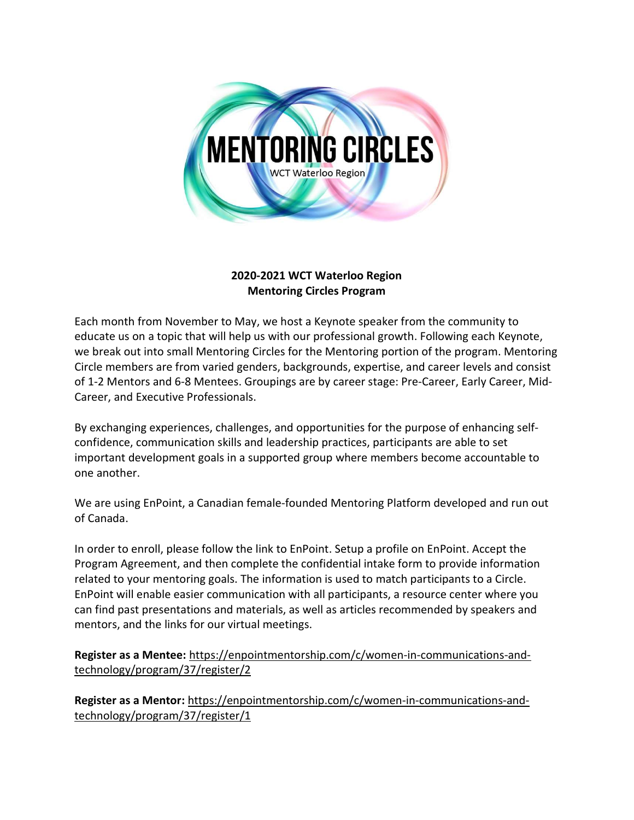

## 2020-2021 WCT Waterloo Region Mentoring Circles Program

Each month from November to May, we host a Keynote speaker from the community to educate us on a topic that will help us with our professional growth. Following each Keynote, we break out into small Mentoring Circles for the Mentoring portion of the program. Mentoring Circle members are from varied genders, backgrounds, expertise, and career levels and consist of 1-2 Mentors and 6-8 Mentees. Groupings are by career stage: Pre-Career, Early Career, Mid-Career, and Executive Professionals.

By exchanging experiences, challenges, and opportunities for the purpose of enhancing selfconfidence, communication skills and leadership practices, participants are able to set important development goals in a supported group where members become accountable to one another.

We are using EnPoint, a Canadian female-founded Mentoring Platform developed and run out of Canada.

In order to enroll, please follow the link to EnPoint. Setup a profile on EnPoint. Accept the Program Agreement, and then complete the confidential intake form to provide information related to your mentoring goals. The information is used to match participants to a Circle. EnPoint will enable easier communication with all participants, a resource center where you can find past presentations and materials, as well as articles recommended by speakers and mentors, and the links for our virtual meetings.

Register as a Mentee: https://enpointmentorship.com/c/women-in-communications-andtechnology/program/37/register/2

Register as a Mentor: https://enpointmentorship.com/c/women-in-communications-andtechnology/program/37/register/1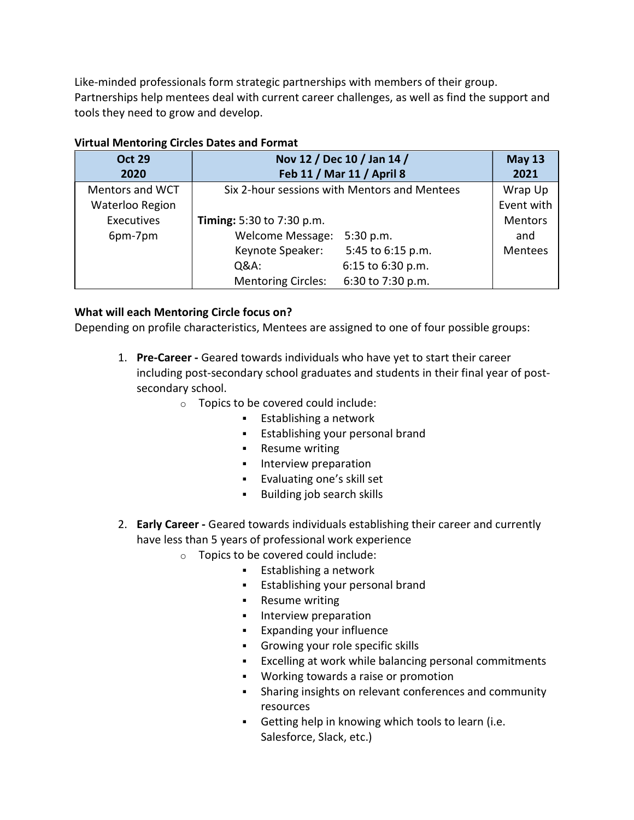Like-minded professionals form strategic partnerships with members of their group. Partnerships help mentees deal with current career challenges, as well as find the support and tools they need to grow and develop.

| <b>Oct 29</b>          | Nov 12 / Dec 10 / Jan 14 /                     | <b>May 13</b>  |
|------------------------|------------------------------------------------|----------------|
| 2020                   | Feb 11 / Mar 11 / April 8                      | 2021           |
| <b>Mentors and WCT</b> | Six 2-hour sessions with Mentors and Mentees   | Wrap Up        |
| Waterloo Region        |                                                | Event with     |
| Executives             | <b>Timing:</b> 5:30 to 7:30 p.m.               | <b>Mentors</b> |
| 6pm-7pm                | <b>Welcome Message:</b><br>5:30 p.m.           | and            |
|                        | Keynote Speaker:<br>5:45 to 6:15 p.m.          | Mentees        |
|                        | 6:15 to 6:30 p.m.<br>Q&A:                      |                |
|                        | 6:30 to 7:30 p.m.<br><b>Mentoring Circles:</b> |                |

## Virtual Mentoring Circles Dates and Format

## What will each Mentoring Circle focus on?

Depending on profile characteristics, Mentees are assigned to one of four possible groups:

- 1. Pre-Career Geared towards individuals who have yet to start their career including post-secondary school graduates and students in their final year of postsecondary school.
	- o Topics to be covered could include:
		- $\blacksquare$  Establishing a network
		- **Establishing your personal brand**
		- **Resume writing**
		- **Interview preparation**
		- Evaluating one's skill set
		- **Building job search skills**
- 2. Early Career Geared towards individuals establishing their career and currently have less than 5 years of professional work experience
	- o Topics to be covered could include:
		- **Establishing a network**
		- Establishing your personal brand
		- **Resume writing**
		- **Interview preparation**
		- **Expanding your influence**
		- Growing your role specific skills
		- Excelling at work while balancing personal commitments
		- Working towards a raise or promotion
		- Sharing insights on relevant conferences and community resources
		- Getting help in knowing which tools to learn (i.e. Salesforce, Slack, etc.)